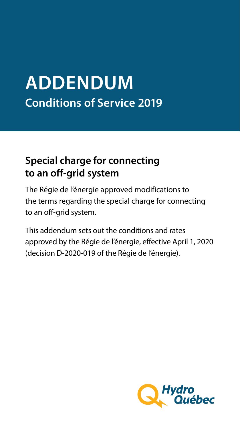# **ADDENDUM Conditions of Service 2019**

## **Special charge for connecting to an off-grid system**

The Régie de l'énergie approved modifications to the terms regarding the special charge for connecting to an off-grid system.

This addendum sets out the conditions and rates approved by the Régie de l'énergie, effective April 1, 2020 (decision D-2020-019 of the Régie de l'énergie).